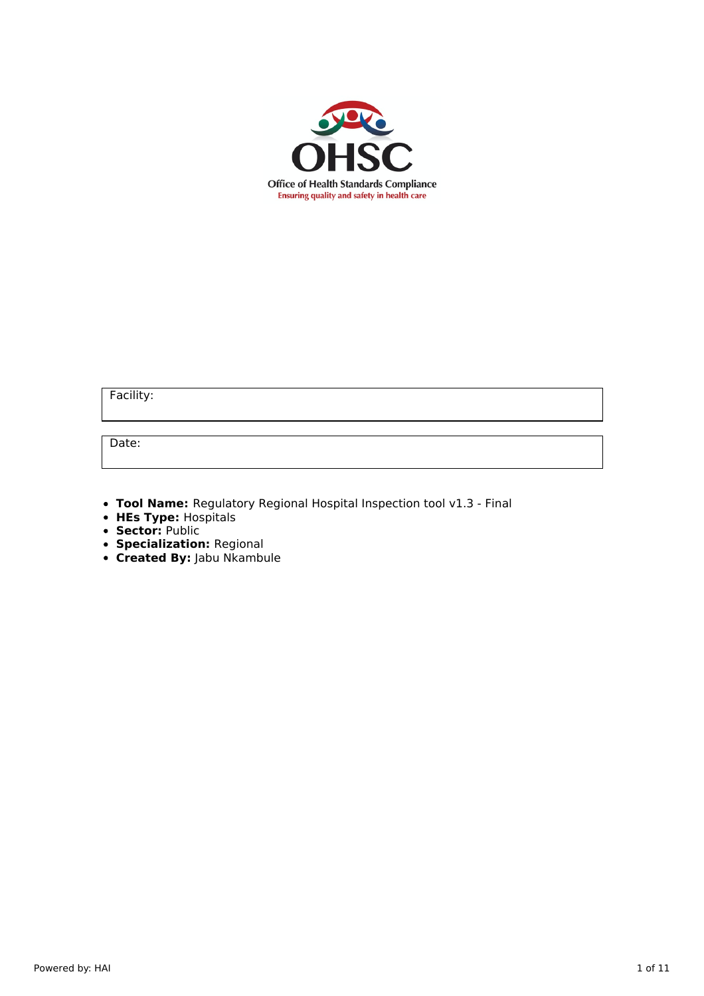

Facility:

Date:

- **Tool Name:** Regulatory Regional Hospital Inspection tool v1.3 Final
- **HEs Type:** Hospitals
- **Sector:** Public
- **Specialization:** Regional
- **Created By:** Jabu Nkambule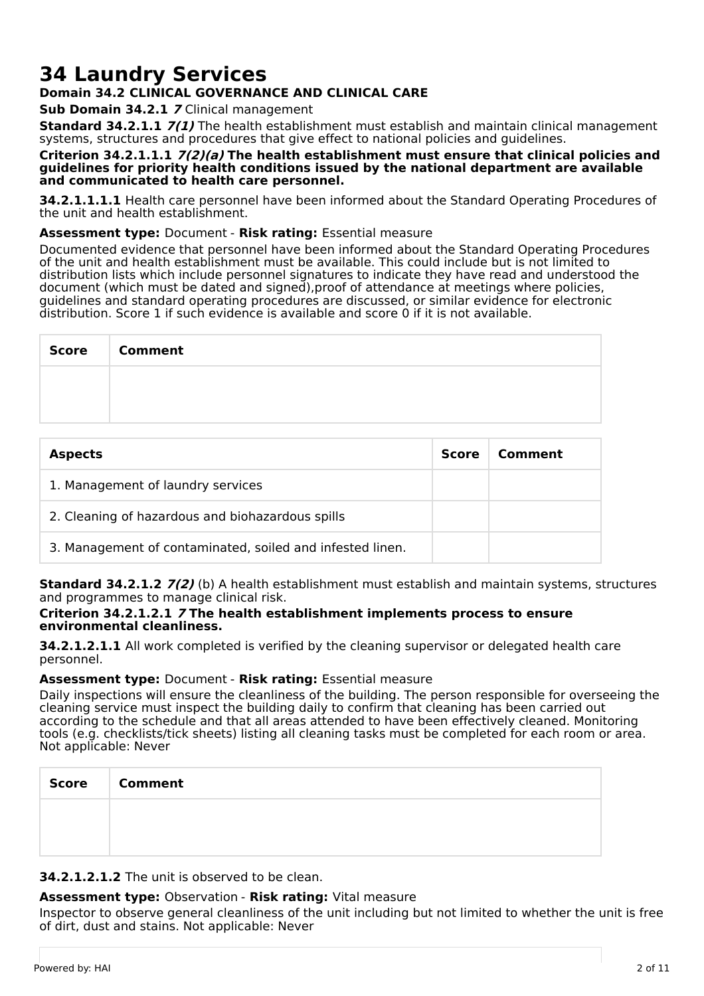# **34 Laundry Services**

# **Domain 34.2 CLINICAL GOVERNANCE AND CLINICAL CARE**

**Sub Domain 34.2.1 7** Clinical management

**Standard 34.2.1.1 7(1)** The health establishment must establish and maintain clinical management systems, structures and procedures that give effect to national policies and guidelines.

**Criterion 34.2.1.1.1 7(2)(a) The health establishment must ensure that clinical policies and guidelines for priority health conditions issued by the national department are available and communicated to health care personnel.**

**34.2.1.1.1.1** Health care personnel have been informed about the Standard Operating Procedures of the unit and health establishment.

### **Assessment type:** Document - **Risk rating:** Essential measure

Documented evidence that personnel have been informed about the Standard Operating Procedures of the unit and health establishment must be available. This could include but is not limited to distribution lists which include personnel signatures to indicate they have read and understood the document (which must be dated and signed),proof of attendance at meetings where policies, guidelines and standard operating procedures are discussed, or similar evidence for electronic distribution. Score 1 if such evidence is available and score 0 if it is not available.

| <b>Score</b> | <b>Comment</b> |
|--------------|----------------|
|              |                |
|              |                |

| <b>Aspects</b>                                            | <b>Score</b> | Comment |
|-----------------------------------------------------------|--------------|---------|
| 1. Management of laundry services                         |              |         |
| 2. Cleaning of hazardous and biohazardous spills          |              |         |
| 3. Management of contaminated, soiled and infested linen. |              |         |

**Standard 34.2.1.2 7(2)** (b) A health establishment must establish and maintain systems, structures and programmes to manage clinical risk.

#### **Criterion 34.2.1.2.1 7 The health establishment implements process to ensure environmental cleanliness.**

**34.2.1.2.1.1** All work completed is verified by the cleaning supervisor or delegated health care personnel.

# **Assessment type:** Document - **Risk rating:** Essential measure

Daily inspections will ensure the cleanliness of the building. The person responsible for overseeing the cleaning service must inspect the building daily to confirm that cleaning has been carried out according to the schedule and that all areas attended to have been effectively cleaned. Monitoring tools (e.g. checklists/tick sheets) listing all cleaning tasks must be completed for each room or area. Not applicable: Never

| <b>Score</b> | <b>Comment</b> |
|--------------|----------------|
|              |                |
|              |                |

# **34.2.1.2.1.2** The unit is observed to be clean.

# **Assessment type:** Observation - **Risk rating:** Vital measure

Inspector to observe general cleanliness of the unit including but not limited to whether the unit is free of dirt, dust and stains. Not applicable: Never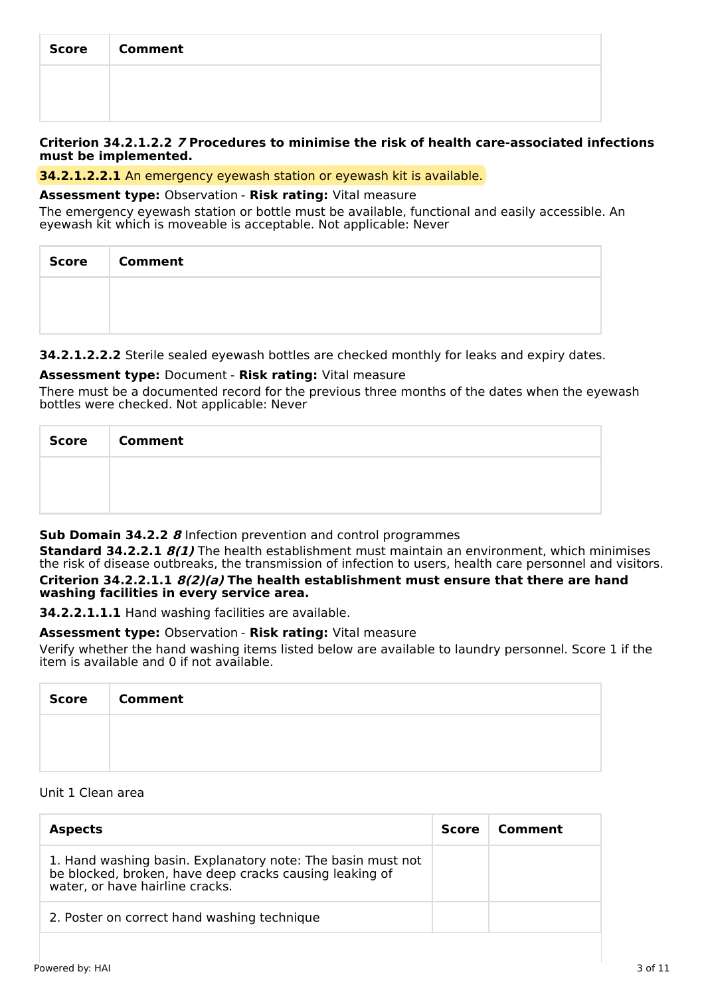| Score | <b>Comment</b> |
|-------|----------------|
|       |                |
|       |                |

#### **Criterion 34.2.1.2.2 7 Procedures to minimise the risk of health care-associated infections must be implemented.**

### **34.2.1.2.2.1** An emergency eyewash station or eyewash kit is available.

#### **Assessment type:** Observation - **Risk rating:** Vital measure

The emergency eyewash station or bottle must be available, functional and easily accessible. An eyewash kit which is moveable is acceptable. Not applicable: Never

| Score Comment |
|---------------|
|               |
|               |

**34.2.1.2.2.2** Sterile sealed eyewash bottles are checked monthly for leaks and expiry dates.

# **Assessment type:** Document - **Risk rating:** Vital measure

There must be a documented record for the previous three months of the dates when the eyewash bottles were checked. Not applicable: Never

| <b>Score</b> | <b>Comment</b> |
|--------------|----------------|
|              |                |
|              |                |

# **Sub Domain 34.2.2 8** Infection prevention and control programmes

**Standard 34.2.2.1 8(1)** The health establishment must maintain an environment, which minimises the risk of disease outbreaks, the transmission of infection to users, health care personnel and visitors. **Criterion 34.2.2.1.1 8(2)(a) The health establishment must ensure that there are hand washing facilities in every service area.**

**34.2.2.1.1.1** Hand washing facilities are available.

# **Assessment type:** Observation - **Risk rating:** Vital measure

Verify whether the hand washing items listed below are available to laundry personnel. Score 1 if the item is available and 0 if not available.

| <b>Score</b> | <b>Comment</b> |
|--------------|----------------|
|              |                |
|              |                |

# Unit 1 Clean area

| <b>Aspects</b>                                                                                                                                            | Score | Comment |
|-----------------------------------------------------------------------------------------------------------------------------------------------------------|-------|---------|
| 1. Hand washing basin. Explanatory note: The basin must not<br>be blocked, broken, have deep cracks causing leaking of<br>water, or have hairline cracks. |       |         |
| 2. Poster on correct hand washing technique                                                                                                               |       |         |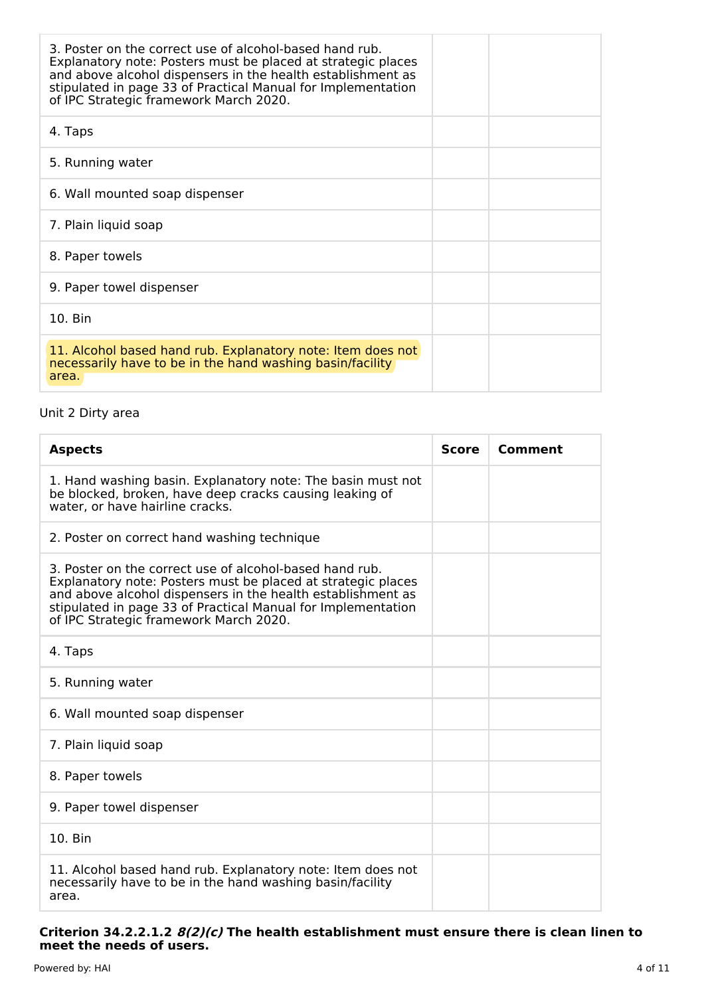| 3. Poster on the correct use of alcohol-based hand rub.<br>Explanatory note: Posters must be placed at strategic places<br>and above alcohol dispensers in the health establishment as<br>stipulated in page 33 of Practical Manual for Implementation<br>of IPC Strategic framework March 2020. |  |
|--------------------------------------------------------------------------------------------------------------------------------------------------------------------------------------------------------------------------------------------------------------------------------------------------|--|
| 4. Taps                                                                                                                                                                                                                                                                                          |  |
| 5. Running water                                                                                                                                                                                                                                                                                 |  |
| 6. Wall mounted soap dispenser                                                                                                                                                                                                                                                                   |  |
| 7. Plain liquid soap                                                                                                                                                                                                                                                                             |  |
| 8. Paper towels                                                                                                                                                                                                                                                                                  |  |
| 9. Paper towel dispenser                                                                                                                                                                                                                                                                         |  |
| 10. Bin                                                                                                                                                                                                                                                                                          |  |
| 11. Alcohol based hand rub. Explanatory note: Item does not<br>necessarily have to be in the hand washing basin/facility<br>area.                                                                                                                                                                |  |

# Unit 2 Dirty area

| <b>Aspects</b>                                                                                                                                                                                                                                                                                   | <b>Score</b> | Comment |
|--------------------------------------------------------------------------------------------------------------------------------------------------------------------------------------------------------------------------------------------------------------------------------------------------|--------------|---------|
| 1. Hand washing basin. Explanatory note: The basin must not<br>be blocked, broken, have deep cracks causing leaking of<br>water, or have hairline cracks.                                                                                                                                        |              |         |
| 2. Poster on correct hand washing technique                                                                                                                                                                                                                                                      |              |         |
| 3. Poster on the correct use of alcohol-based hand rub.<br>Explanatory note: Posters must be placed at strategic places<br>and above alcohol dispensers in the health establishment as<br>stipulated in page 33 of Practical Manual for Implementation<br>of IPC Strategic framework March 2020. |              |         |
| 4. Taps                                                                                                                                                                                                                                                                                          |              |         |
| 5. Running water                                                                                                                                                                                                                                                                                 |              |         |
| 6. Wall mounted soap dispenser                                                                                                                                                                                                                                                                   |              |         |
| 7. Plain liquid soap                                                                                                                                                                                                                                                                             |              |         |
| 8. Paper towels                                                                                                                                                                                                                                                                                  |              |         |
| 9. Paper towel dispenser                                                                                                                                                                                                                                                                         |              |         |
| 10. Bin                                                                                                                                                                                                                                                                                          |              |         |
| 11. Alcohol based hand rub. Explanatory note: Item does not<br>necessarily have to be in the hand washing basin/facility<br>area.                                                                                                                                                                |              |         |

#### **Criterion 34.2.2.1.2 8(2)(c) The health establishment must ensure there is clean linen to meet the needs of users.**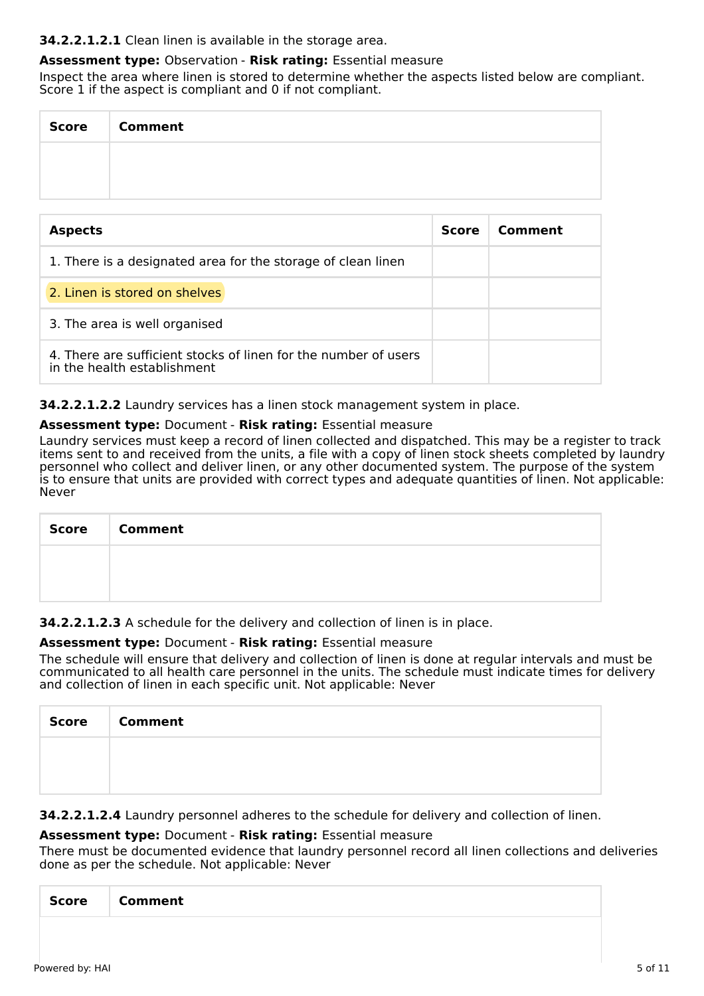# **34.2.2.1.2.1** Clean linen is available in the storage area.

# **Assessment type:** Observation - **Risk rating:** Essential measure

Inspect the area where linen is stored to determine whether the aspects listed below are compliant. Score 1 if the aspect is compliant and 0 if not compliant.

| Score | <b>Comment</b> |
|-------|----------------|
|       |                |
|       |                |

| <b>Aspects</b>                                                                                 | <b>Score</b> | Comment |
|------------------------------------------------------------------------------------------------|--------------|---------|
| 1. There is a designated area for the storage of clean linen                                   |              |         |
| 2. Linen is stored on shelves                                                                  |              |         |
| 3. The area is well organised                                                                  |              |         |
| 4. There are sufficient stocks of linen for the number of users<br>in the health establishment |              |         |

**34.2.2.1.2.2** Laundry services has a linen stock management system in place.

#### **Assessment type:** Document - **Risk rating:** Essential measure

Laundry services must keep a record of linen collected and dispatched. This may be a register to track items sent to and received from the units, a file with a copy of linen stock sheets completed by laundry personnel who collect and deliver linen, or any other documented system. The purpose of the system is to ensure that units are provided with correct types and adequate quantities of linen. Not applicable: Never

| Score   Comment |
|-----------------|
|                 |
|                 |

**34.2.2.1.2.3** A schedule for the delivery and collection of linen is in place.

#### **Assessment type:** Document - **Risk rating:** Essential measure

The schedule will ensure that delivery and collection of linen is done at regular intervals and must be communicated to all health care personnel in the units. The schedule must indicate times for delivery and collection of linen in each specific unit. Not applicable: Never

| <b>Score</b> | <b>Comment</b> |
|--------------|----------------|
|              |                |
|              |                |

# **34.2.2.1.2.4** Laundry personnel adheres to the schedule for delivery and collection of linen.

# **Assessment type:** Document - **Risk rating:** Essential measure

There must be documented evidence that laundry personnel record all linen collections and deliveries done as per the schedule. Not applicable: Never

|--|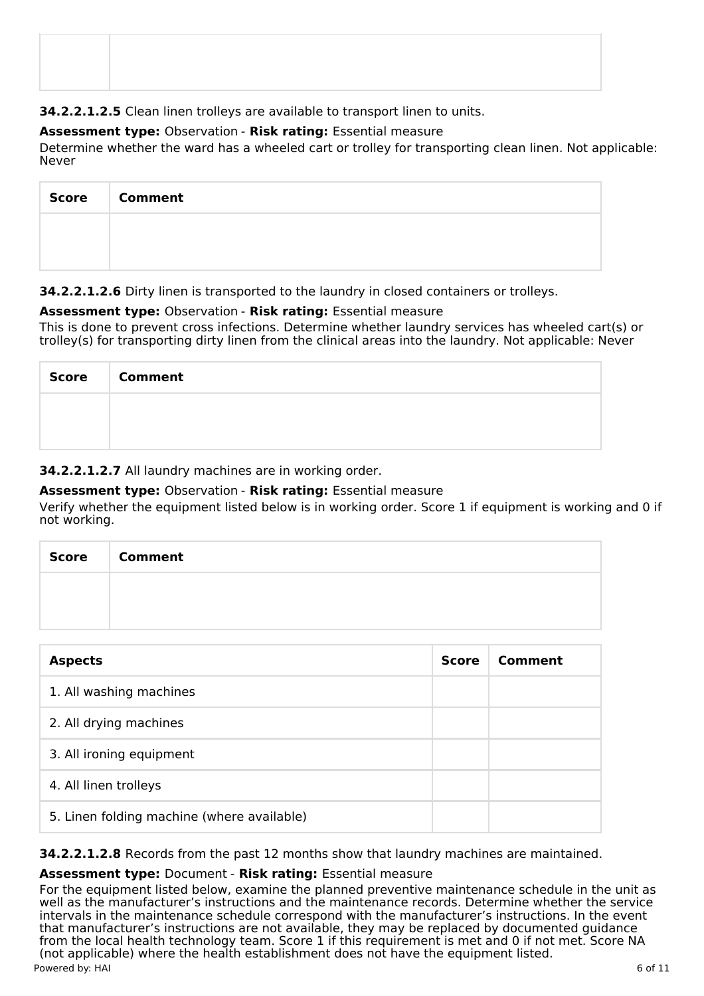**34.2.2.1.2.5** Clean linen trolleys are available to transport linen to units.

# **Assessment type:** Observation - **Risk rating:** Essential measure

Determine whether the ward has a wheeled cart or trolley for transporting clean linen. Not applicable: Never

| <b>Score</b> | <b>Comment</b> |
|--------------|----------------|
|              |                |
|              |                |

**34.2.2.1.2.6** Dirty linen is transported to the laundry in closed containers or trolleys.

# **Assessment type:** Observation - **Risk rating:** Essential measure

This is done to prevent cross infections. Determine whether laundry services has wheeled cart(s) or trolley(s) for transporting dirty linen from the clinical areas into the laundry. Not applicable: Never

| <b>Score</b> | <b>Comment</b> |
|--------------|----------------|
|              |                |
|              |                |

**34.2.2.1.2.7** All laundry machines are in working order.

# **Assessment type:** Observation - **Risk rating:** Essential measure

Verify whether the equipment listed below is in working order. Score 1 if equipment is working and 0 if not working.

| <b>Score</b> | <b>Comment</b> |
|--------------|----------------|
|              |                |
|              |                |

| <b>Aspects</b>                             | <b>Score</b> | Comment |
|--------------------------------------------|--------------|---------|
| 1. All washing machines                    |              |         |
| 2. All drying machines                     |              |         |
| 3. All ironing equipment                   |              |         |
| 4. All linen trolleys                      |              |         |
| 5. Linen folding machine (where available) |              |         |

**34.2.2.1.2.8** Records from the past 12 months show that laundry machines are maintained.

# **Assessment type:** Document - **Risk rating:** Essential measure

For the equipment listed below, examine the planned preventive maintenance schedule in the unit as well as the manufacturer's instructions and the maintenance records. Determine whether the service intervals in the maintenance schedule correspond with the manufacturer's instructions. In the event that manufacturer's instructions are not available, they may be replaced by documented guidance from the local health technology team. Score 1 if this requirement is met and 0 if not met. Score NA (not applicable) where the health establishment does not have the equipment listed. Powered by: HAI 6 of 11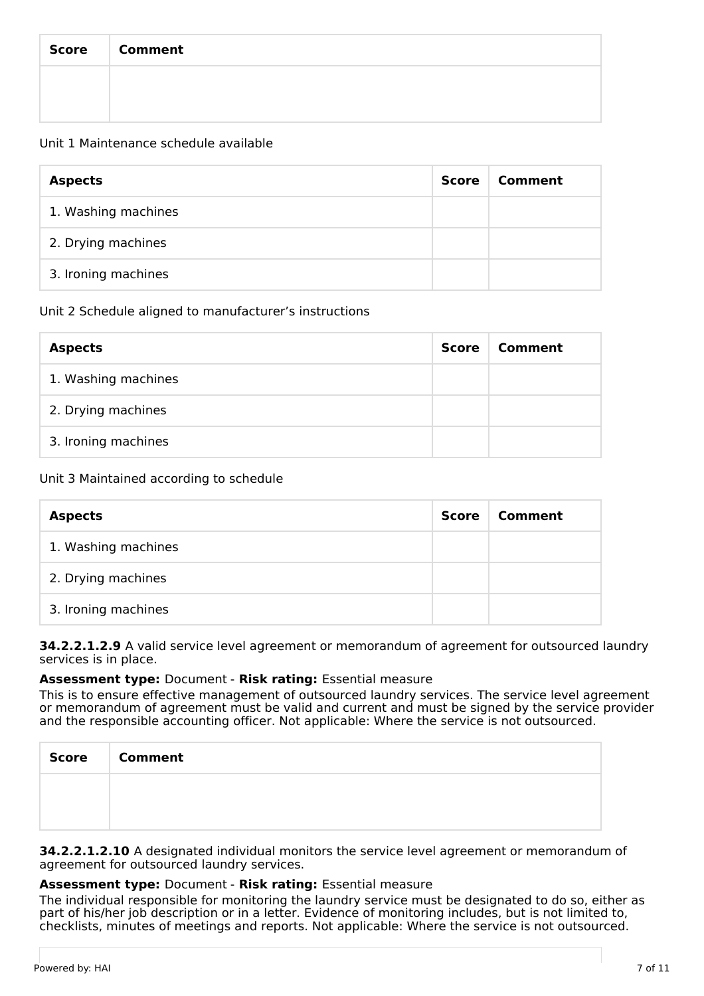| Score | <b>Comment</b> |
|-------|----------------|
|       |                |
|       |                |

### Unit 1 Maintenance schedule available

| <b>Aspects</b>      | Score | Comment |
|---------------------|-------|---------|
| 1. Washing machines |       |         |
| 2. Drying machines  |       |         |
| 3. Ironing machines |       |         |

# Unit 2 Schedule aligned to manufacturer's instructions

| <b>Aspects</b>      | Score | Comment |
|---------------------|-------|---------|
| 1. Washing machines |       |         |
| 2. Drying machines  |       |         |
| 3. Ironing machines |       |         |

# Unit 3 Maintained according to schedule

| <b>Aspects</b>      | <b>Score</b> | Comment |
|---------------------|--------------|---------|
| 1. Washing machines |              |         |
| 2. Drying machines  |              |         |
| 3. Ironing machines |              |         |

#### **34.2.2.1.2.9** A valid service level agreement or memorandum of agreement for outsourced laundry services is in place.

# **Assessment type:** Document - **Risk rating:** Essential measure

This is to ensure effective management of outsourced laundry services. The service level agreement or memorandum of agreement must be valid and current and must be signed by the service provider and the responsible accounting officer. Not applicable: Where the service is not outsourced.

| <b>Score</b><br>a sa | Comment |
|----------------------|---------|
|                      |         |
|                      |         |

**34.2.2.1.2.10** A designated individual monitors the service level agreement or memorandum of agreement for outsourced laundry services.

#### **Assessment type:** Document - **Risk rating:** Essential measure

The individual responsible for monitoring the laundry service must be designated to do so, either as part of his/her job description or in a letter. Evidence of monitoring includes, but is not limited to, checklists, minutes of meetings and reports. Not applicable: Where the service is not outsourced.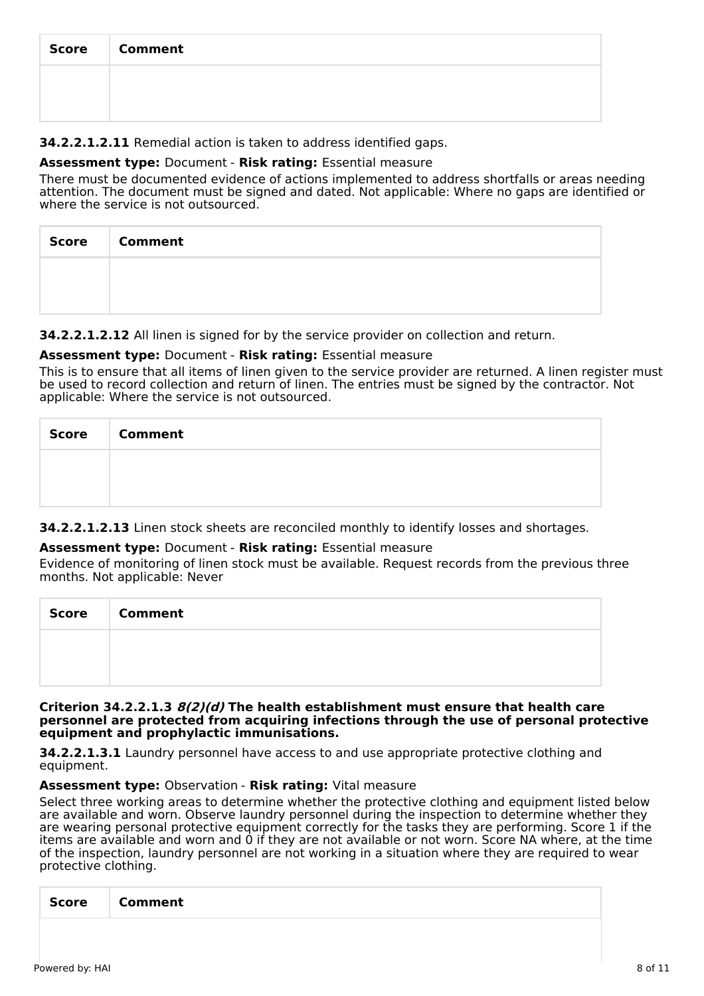| <b>Score</b> | <b>Comment</b> |
|--------------|----------------|
|              |                |
|              |                |

# **34.2.2.1.2.11** Remedial action is taken to address identified gaps.

### **Assessment type:** Document - **Risk rating:** Essential measure

There must be documented evidence of actions implemented to address shortfalls or areas needing attention. The document must be signed and dated. Not applicable: Where no gaps are identified or where the service is not outsourced.

| Score   Comment |
|-----------------|
|                 |
|                 |

**34.2.2.1.2.12** All linen is signed for by the service provider on collection and return.

# **Assessment type:** Document - **Risk rating:** Essential measure

This is to ensure that all items of linen given to the service provider are returned. A linen register must be used to record collection and return of linen. The entries must be signed by the contractor. Not applicable: Where the service is not outsourced.

| Score   Comment |
|-----------------|
|                 |
|                 |

**34.2.2.1.2.13** Linen stock sheets are reconciled monthly to identify losses and shortages.

#### **Assessment type:** Document - **Risk rating:** Essential measure

Evidence of monitoring of linen stock must be available. Request records from the previous three months. Not applicable: Never

| <b>Score</b> | <b>Comment</b> |
|--------------|----------------|
|              |                |
|              |                |

#### **Criterion 34.2.2.1.3 8(2)(d) The health establishment must ensure that health care personnel are protected from acquiring infections through the use of personal protective equipment and prophylactic immunisations.**

**34.2.2.1.3.1** Laundry personnel have access to and use appropriate protective clothing and equipment.

#### **Assessment type:** Observation - **Risk rating:** Vital measure

Select three working areas to determine whether the protective clothing and equipment listed below are available and worn. Observe laundry personnel during the inspection to determine whether they are wearing personal protective equipment correctly for the tasks they are performing. Score 1 if the items are available and worn and 0 if they are not available or not worn. Score NA where, at the time of the inspection, laundry personnel are not working in a situation where they are required to wear protective clothing.

| <b>Score</b> | <b>Comment</b> |
|--------------|----------------|
|              |                |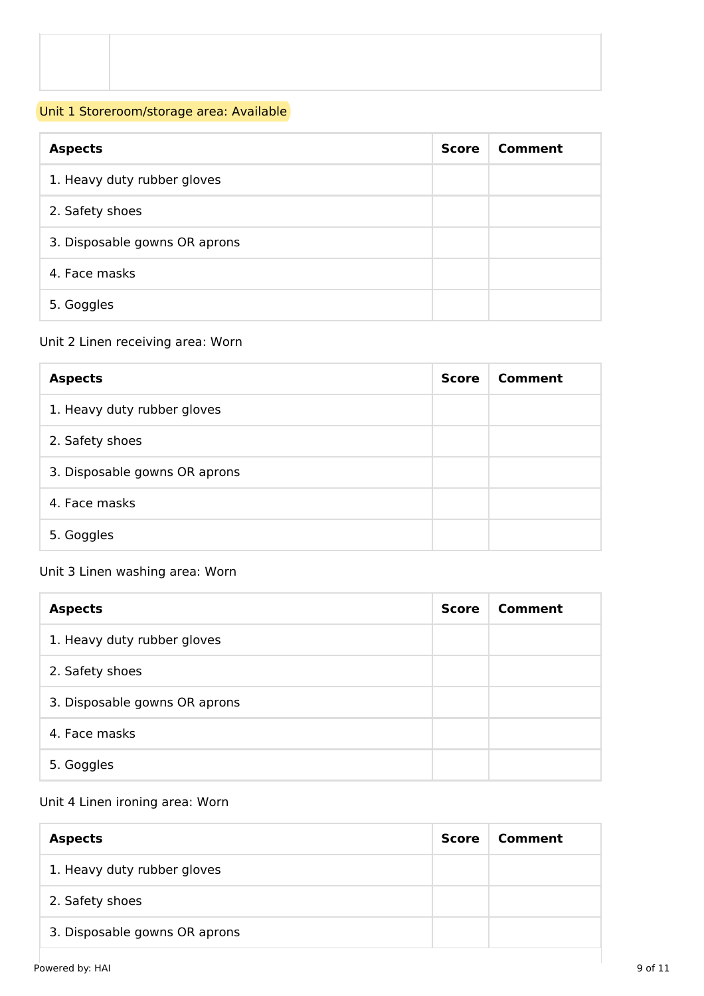# Unit 1 Storeroom/storage area: Available

| <b>Aspects</b>                | <b>Score</b> | Comment |
|-------------------------------|--------------|---------|
| 1. Heavy duty rubber gloves   |              |         |
| 2. Safety shoes               |              |         |
| 3. Disposable gowns OR aprons |              |         |
| 4. Face masks                 |              |         |
| 5. Goggles                    |              |         |

# Unit 2 Linen receiving area: Worn

| <b>Aspects</b>                | Score | Comment |
|-------------------------------|-------|---------|
| 1. Heavy duty rubber gloves   |       |         |
| 2. Safety shoes               |       |         |
| 3. Disposable gowns OR aprons |       |         |
| 4. Face masks                 |       |         |
| 5. Goggles                    |       |         |

# Unit 3 Linen washing area: Worn

| <b>Aspects</b>                | <b>Score</b> | Comment |
|-------------------------------|--------------|---------|
| 1. Heavy duty rubber gloves   |              |         |
| 2. Safety shoes               |              |         |
| 3. Disposable gowns OR aprons |              |         |
| 4. Face masks                 |              |         |
| 5. Goggles                    |              |         |

# Unit 4 Linen ironing area: Worn

| <b>Aspects</b>                | Score | Comment |
|-------------------------------|-------|---------|
| 1. Heavy duty rubber gloves   |       |         |
| 2. Safety shoes               |       |         |
| 3. Disposable gowns OR aprons |       |         |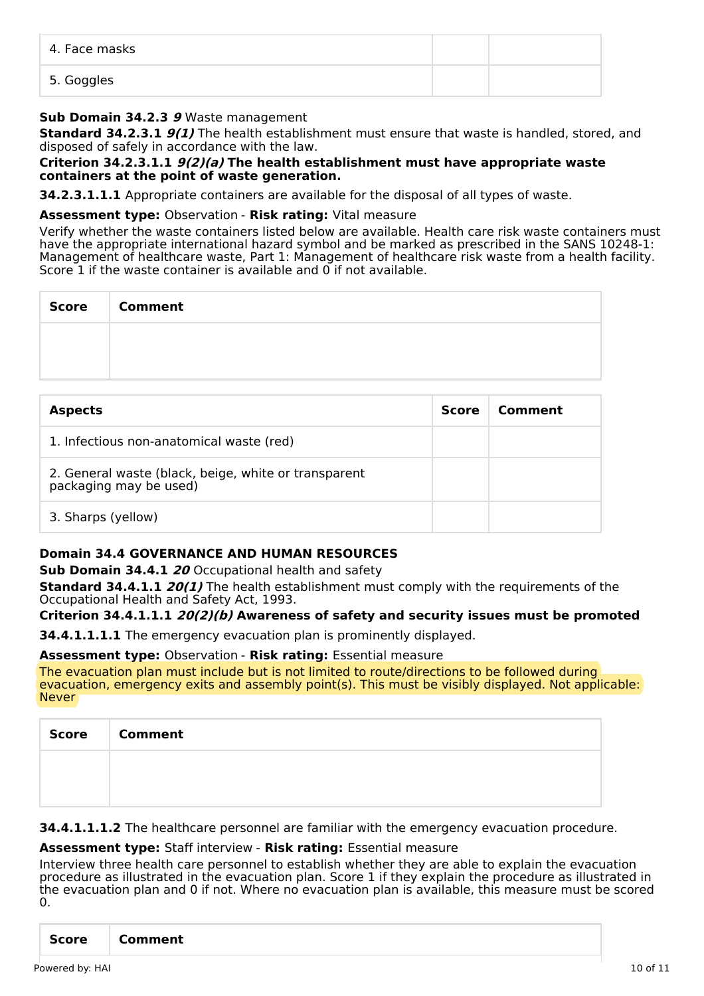| 4. Face masks |  |
|---------------|--|
| 5. Goggles    |  |

### **Sub Domain 34.2.3 9** Waste management

**Standard 34.2.3.1 9(1)** The health establishment must ensure that waste is handled, stored, and disposed of safely in accordance with the law.

#### **Criterion 34.2.3.1.1 9(2)(a) The health establishment must have appropriate waste containers at the point of waste generation.**

**34.2.3.1.1.1** Appropriate containers are available for the disposal of all types of waste.

#### **Assessment type:** Observation - **Risk rating:** Vital measure

Verify whether the waste containers listed below are available. Health care risk waste containers must have the appropriate international hazard symbol and be marked as prescribed in the SANS 10248-1: Management of healthcare waste, Part 1: Management of healthcare risk waste from a health facility. Score  $1$  if the waste container is available and  $0$  if not available.

| <b>Score</b> | <b>Comment</b> |
|--------------|----------------|
|              |                |
|              |                |

| <b>Aspects</b>                                                                 | <b>Score</b> | Comment |
|--------------------------------------------------------------------------------|--------------|---------|
| 1. Infectious non-anatomical waste (red)                                       |              |         |
| 2. General waste (black, beige, white or transparent<br>packaging may be used) |              |         |
| 3. Sharps (yellow)                                                             |              |         |

# **Domain 34.4 GOVERNANCE AND HUMAN RESOURCES**

**Sub Domain 34.4.1 20** Occupational health and safety

**Standard 34.4.1.1 20(1)** The health establishment must comply with the requirements of the Occupational Health and Safety Act, 1993.

# **Criterion 34.4.1.1.1 20(2)(b) Awareness of safety and security issues must be promoted**

**34.4.1.1.1.1** The emergency evacuation plan is prominently displayed.

#### **Assessment type:** Observation - **Risk rating:** Essential measure

The evacuation plan must include but is not limited to route/directions to be followed during evacuation, emergency exits and assembly point(s). This must be visibly displayed. Not applicable: Never

| <b>Score</b> | <b>Comment</b> |
|--------------|----------------|
|              |                |
|              |                |

**34.4.1.1.1.2** The healthcare personnel are familiar with the emergency evacuation procedure.

### **Assessment type:** Staff interview - **Risk rating:** Essential measure

Interview three health care personnel to establish whether they are able to explain the evacuation procedure as illustrated in the evacuation plan. Score 1 if they explain the procedure as illustrated in the evacuation plan and 0 if not. Where no evacuation plan is available, this measure must be scored 0.

| Score<br><b>Comment</b> |
|-------------------------|
|-------------------------|